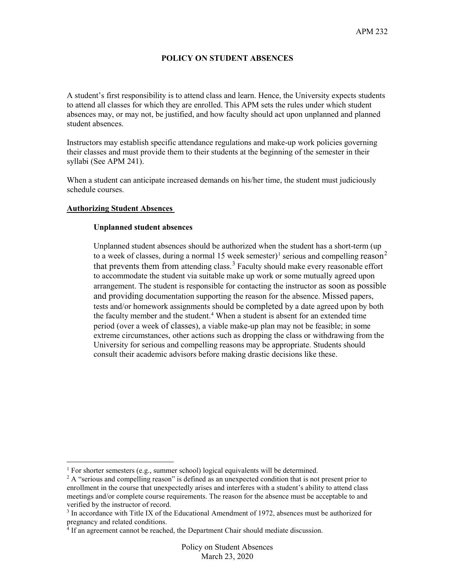# **POLICY ON STUDENT ABSENCES**

A student's first responsibility is to attend class and learn. Hence, the University expects students to attend all classes for which they are enrolled. This APM sets the rules under which student absences may, or may not, be justified, and how faculty should act upon unplanned and planned student absences.

Instructors may establish specific attendance regulations and make-up work policies governing their classes and must provide them to their students at the beginning of the semester in their syllabi (See APM 241).

When a student can anticipate increased demands on his/her time, the student must judiciously schedule courses.

# **Authorizing Student Absences**

#### **Unplanned student absences**

Unplanned student absences should be authorized when the student has a short-term (up to a week of classes, during a normal [1](#page-0-0)5 week semester)<sup>1</sup> serious and compelling reason<sup>[2](#page-0-1)</sup> that prevents them from attending class.<sup>[3](#page-0-2)</sup> Faculty should make every reasonable effort to accommodate the student via suitable make up work or some mutually agreed upon arrangement. The student is responsible for contacting the instructor as soon as possible and providing documentation supporting the reason for the absence. Missed papers, tests and/or homework assignments should be completed by a date agreed upon by both the faculty member and the student.<sup>[4](#page-0-3)</sup> When a student is absent for an extended time period (over a week of classes), a viable make-up plan may not be feasible; in some extreme circumstances, other actions such as dropping the class or withdrawing from the University for serious and compelling reasons may be appropriate. Students should consult their academic advisors before making drastic decisions like these.

<span id="page-0-0"></span> $1$  For shorter semesters (e.g., summer school) logical equivalents will be determined.

<span id="page-0-1"></span> $2$  A "serious and compelling reason" is defined as an unexpected condition that is not present prior to enrollment in the course that unexpectedly arises and interferes with a student's ability to attend class meetings and/or complete course requirements. The reason for the absence must be acceptable to and verified by the instructor of record.

<span id="page-0-2"></span> $3$  In accordance with Title IX of the Educational Amendment of 1972, absences must be authorized for pregnancy and related conditions.

<span id="page-0-3"></span><sup>&</sup>lt;sup>4</sup> If an agreement cannot be reached, the Department Chair should mediate discussion.